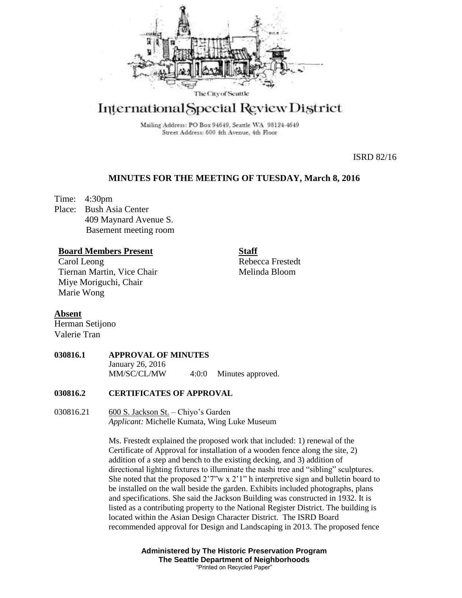

# International Special Review District

Mailing Address: PO Box 94649, Seattle WA 98124-4649 Street Address: 600 4th Avenue, 4th Floor

ISRD 82/16

### **MINUTES FOR THE MEETING OF TUESDAY, March 8, 2016**

Time: 4:30pm Place: Bush Asia Center 409 Maynard Avenue S. Basement meeting room

## **Board Members Present**

Carol Leong Tiernan Martin, Vice Chair Miye Moriguchi, Chair Marie Wong

**Staff** Rebecca Frestedt Melinda Bloom

**Absent** Herman Setijono

Valerie Tran

#### **030816.1 APPROVAL OF MINUTES** January 26, 2016 MM/SC/CL/MW 4:0:0 Minutes approved.

#### **030816.2 CERTIFICATES OF APPROVAL**

030816.21 600 S. Jackson St. – Chiyo's Garden *Applicant:* Michelle Kumata, Wing Luke Museum

> Ms. Frestedt explained the proposed work that included: 1) renewal of the Certificate of Approval for installation of a wooden fence along the site, 2) addition of a step and bench to the existing decking, and 3) addition of directional lighting fixtures to illuminate the nashi tree and "sibling" sculptures. She noted that the proposed  $2'7''w \times 2'1''$  h interpretive sign and bulletin board to be installed on the wall beside the garden. Exhibits included photographs, plans and specifications. She said the Jackson Building was constructed in 1932. It is listed as a contributing property to the National Register District. The building is located within the Asian Design Character District. The ISRD Board recommended approval for Design and Landscaping in 2013. The proposed fence

> > **Administered by The Historic Preservation Program The Seattle Department of Neighborhoods** "Printed on Recycled Paper"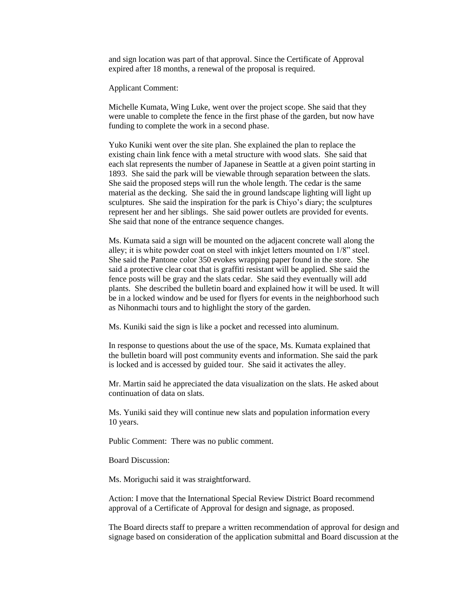and sign location was part of that approval. Since the Certificate of Approval expired after 18 months, a renewal of the proposal is required.

Applicant Comment:

Michelle Kumata, Wing Luke, went over the project scope. She said that they were unable to complete the fence in the first phase of the garden, but now have funding to complete the work in a second phase.

Yuko Kuniki went over the site plan. She explained the plan to replace the existing chain link fence with a metal structure with wood slats. She said that each slat represents the number of Japanese in Seattle at a given point starting in 1893. She said the park will be viewable through separation between the slats. She said the proposed steps will run the whole length. The cedar is the same material as the decking. She said the in ground landscape lighting will light up sculptures. She said the inspiration for the park is Chiyo's diary; the sculptures represent her and her siblings. She said power outlets are provided for events. She said that none of the entrance sequence changes.

Ms. Kumata said a sign will be mounted on the adjacent concrete wall along the alley; it is white powder coat on steel with inkjet letters mounted on 1/8" steel. She said the Pantone color 350 evokes wrapping paper found in the store. She said a protective clear coat that is graffiti resistant will be applied. She said the fence posts will be gray and the slats cedar. She said they eventually will add plants. She described the bulletin board and explained how it will be used. It will be in a locked window and be used for flyers for events in the neighborhood such as Nihonmachi tours and to highlight the story of the garden.

Ms. Kuniki said the sign is like a pocket and recessed into aluminum.

In response to questions about the use of the space, Ms. Kumata explained that the bulletin board will post community events and information. She said the park is locked and is accessed by guided tour. She said it activates the alley.

Mr. Martin said he appreciated the data visualization on the slats. He asked about continuation of data on slats.

Ms. Yuniki said they will continue new slats and population information every 10 years.

Public Comment: There was no public comment.

Board Discussion:

Ms. Moriguchi said it was straightforward.

Action: I move that the International Special Review District Board recommend approval of a Certificate of Approval for design and signage, as proposed.

The Board directs staff to prepare a written recommendation of approval for design and signage based on consideration of the application submittal and Board discussion at the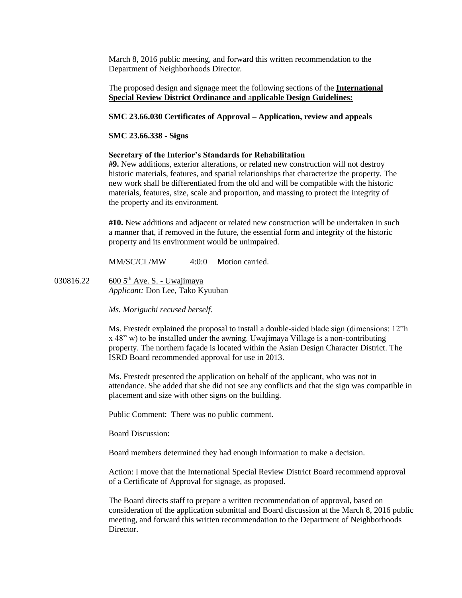March 8, 2016 public meeting, and forward this written recommendation to the Department of Neighborhoods Director.

The proposed design and signage meet the following sections of the **International Special Review District Ordinance and** a**pplicable Design Guidelines:**

#### **SMC 23.66.030 Certificates of Approval – Application, review and appeals**

#### **SMC 23.66.338 - Signs**

#### **Secretary of the Interior's Standards for Rehabilitation**

**#9.** New additions, exterior alterations, or related new construction will not destroy historic materials, features, and spatial relationships that characterize the property. The new work shall be differentiated from the old and will be compatible with the historic materials, features, size, scale and proportion, and massing to protect the integrity of the property and its environment.

**#10.** New additions and adjacent or related new construction will be undertaken in such a manner that, if removed in the future, the essential form and integrity of the historic property and its environment would be unimpaired.

MM/SC/CL/MW 4:0:0 Motion carried.

030816.22 600 5<sup>th</sup> Ave. S. - Uwajimaya *Applicant:* Don Lee, Tako Kyuuban

*Ms. Moriguchi recused herself.*

Ms. Frestedt explained the proposal to install a double-sided blade sign (dimensions: 12"h x 48" w) to be installed under the awning. Uwajimaya Village is a non-contributing property. The northern façade is located within the Asian Design Character District. The ISRD Board recommended approval for use in 2013.

Ms. Frestedt presented the application on behalf of the applicant, who was not in attendance. She added that she did not see any conflicts and that the sign was compatible in placement and size with other signs on the building.

Public Comment: There was no public comment.

Board Discussion:

Board members determined they had enough information to make a decision.

Action: I move that the International Special Review District Board recommend approval of a Certificate of Approval for signage, as proposed.

The Board directs staff to prepare a written recommendation of approval, based on consideration of the application submittal and Board discussion at the March 8, 2016 public meeting, and forward this written recommendation to the Department of Neighborhoods **Director**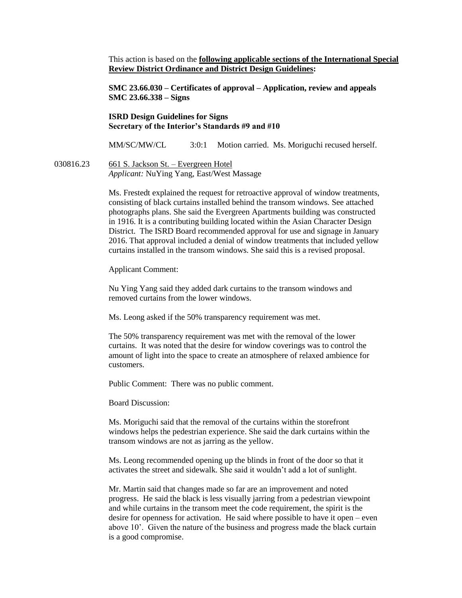This action is based on the **following applicable sections of the International Special Review District Ordinance and District Design Guidelines:** 

**SMC 23.66.030 – Certificates of approval – Application, review and appeals SMC 23.66.338 – Signs**

#### **ISRD Design Guidelines for Signs Secretary of the Interior's Standards #9 and #10**

MM/SC/MW/CL 3:0:1 Motion carried. Ms. Moriguchi recused herself.

030816.23 661 S. Jackson St. – Evergreen Hotel

*Applicant:* NuYing Yang, East/West Massage

Ms. Frestedt explained the request for retroactive approval of window treatments, consisting of black curtains installed behind the transom windows. See attached photographs plans. She said the Evergreen Apartments building was constructed in 1916. It is a contributing building located within the Asian Character Design District. The ISRD Board recommended approval for use and signage in January 2016. That approval included a denial of window treatments that included yellow curtains installed in the transom windows. She said this is a revised proposal.

Applicant Comment:

Nu Ying Yang said they added dark curtains to the transom windows and removed curtains from the lower windows.

Ms. Leong asked if the 50% transparency requirement was met.

The 50% transparency requirement was met with the removal of the lower curtains. It was noted that the desire for window coverings was to control the amount of light into the space to create an atmosphere of relaxed ambience for customers.

Public Comment: There was no public comment.

Board Discussion:

Ms. Moriguchi said that the removal of the curtains within the storefront windows helps the pedestrian experience. She said the dark curtains within the transom windows are not as jarring as the yellow.

Ms. Leong recommended opening up the blinds in front of the door so that it activates the street and sidewalk. She said it wouldn't add a lot of sunlight.

Mr. Martin said that changes made so far are an improvement and noted progress. He said the black is less visually jarring from a pedestrian viewpoint and while curtains in the transom meet the code requirement, the spirit is the desire for openness for activation. He said where possible to have it open – even above 10'. Given the nature of the business and progress made the black curtain is a good compromise.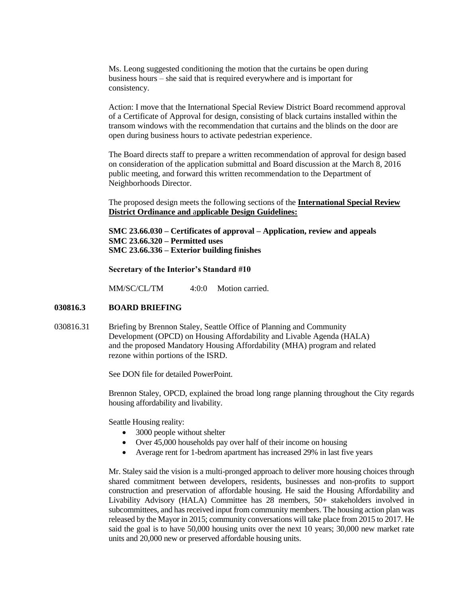Ms. Leong suggested conditioning the motion that the curtains be open during business hours – she said that is required everywhere and is important for consistency.

Action: I move that the International Special Review District Board recommend approval of a Certificate of Approval for design, consisting of black curtains installed within the transom windows with the recommendation that curtains and the blinds on the door are open during business hours to activate pedestrian experience.

The Board directs staff to prepare a written recommendation of approval for design based on consideration of the application submittal and Board discussion at the March 8, 2016 public meeting, and forward this written recommendation to the Department of Neighborhoods Director.

The proposed design meets the following sections of the **International Special Review District Ordinance and** a**pplicable Design Guidelines:**

**SMC 23.66.030 – Certificates of approval – Application, review and appeals SMC 23.66.320 – Permitted uses SMC 23.66.336 – Exterior building finishes**

**Secretary of the Interior's Standard #10**

MM/SC/CL/TM  $4:0:0$  Motion carried.

#### **030816.3 BOARD BRIEFING**

030816.31 Briefing by Brennon Staley, Seattle Office of Planning and Community Development (OPCD) on Housing Affordability and Livable Agenda (HALA) and the proposed Mandatory Housing Affordability (MHA) program and related rezone within portions of the ISRD.

See DON file for detailed PowerPoint.

Brennon Staley, OPCD, explained the broad long range planning throughout the City regards housing affordability and livability.

Seattle Housing reality:

- 3000 people without shelter
- Over 45,000 households pay over half of their income on housing
- Average rent for 1-bedrom apartment has increased 29% in last five years

Mr. Staley said the vision is a multi-pronged approach to deliver more housing choices through shared commitment between developers, residents, businesses and non-profits to support construction and preservation of affordable housing. He said the Housing Affordability and Livability Advisory (HALA) Committee has 28 members, 50+ stakeholders involved in subcommittees, and has received input from community members. The housing action plan was released by the Mayor in 2015; community conversations will take place from 2015 to 2017. He said the goal is to have 50,000 housing units over the next 10 years; 30,000 new market rate units and 20,000 new or preserved affordable housing units.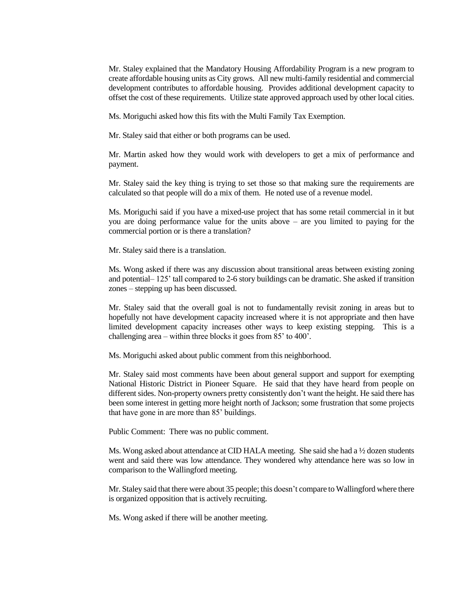Mr. Staley explained that the Mandatory Housing Affordability Program is a new program to create affordable housing units as City grows. All new multi-family residential and commercial development contributes to affordable housing. Provides additional development capacity to offset the cost of these requirements. Utilize state approved approach used by other local cities.

Ms. Moriguchi asked how this fits with the Multi Family Tax Exemption.

Mr. Staley said that either or both programs can be used.

Mr. Martin asked how they would work with developers to get a mix of performance and payment.

Mr. Staley said the key thing is trying to set those so that making sure the requirements are calculated so that people will do a mix of them. He noted use of a revenue model.

Ms. Moriguchi said if you have a mixed-use project that has some retail commercial in it but you are doing performance value for the units above – are you limited to paying for the commercial portion or is there a translation?

Mr. Staley said there is a translation.

Ms. Wong asked if there was any discussion about transitional areas between existing zoning and potential– 125' tall compared to 2-6 story buildings can be dramatic. She asked if transition zones – stepping up has been discussed.

Mr. Staley said that the overall goal is not to fundamentally revisit zoning in areas but to hopefully not have development capacity increased where it is not appropriate and then have limited development capacity increases other ways to keep existing stepping. This is a challenging area – within three blocks it goes from 85' to 400'.

Ms. Moriguchi asked about public comment from this neighborhood.

Mr. Staley said most comments have been about general support and support for exempting National Historic District in Pioneer Square. He said that they have heard from people on different sides. Non-property owners pretty consistently don't want the height. He said there has been some interest in getting more height north of Jackson; some frustration that some projects that have gone in are more than 85' buildings.

Public Comment: There was no public comment.

Ms. Wong asked about attendance at CID HALA meeting. She said she had a ½ dozen students went and said there was low attendance. They wondered why attendance here was so low in comparison to the Wallingford meeting.

Mr. Staley said that there were about 35 people; this doesn't compare to Wallingford where there is organized opposition that is actively recruiting.

Ms. Wong asked if there will be another meeting.